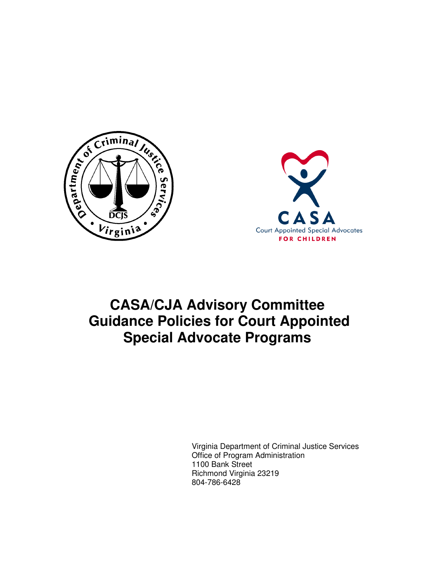



# **CASA/CJA Advisory Committee Guidance Policies for Court Appointed Special Advocate Programs**

Virginia Department of Criminal Justice Services Office of Program Administration 1100 Bank Street Richmond Virginia 23219 804-786-6428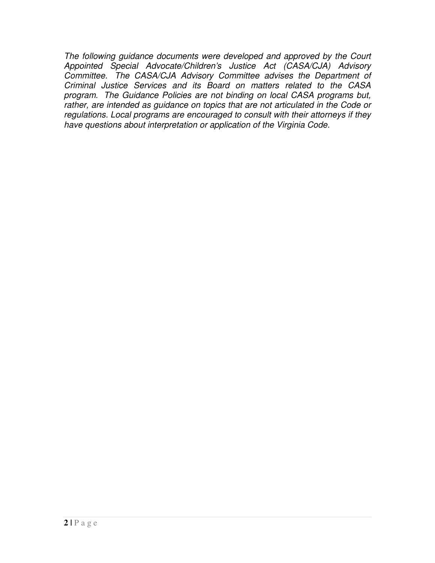The following guidance documents were developed and approved by the Court Appointed Special Advocate/Children's Justice Act (CASA/CJA) Advisory Committee. The CASA/CJA Advisory Committee advises the Department of Criminal Justice Services and its Board on matters related to the CASA program. The Guidance Policies are not binding on local CASA programs but, rather, are intended as guidance on topics that are not articulated in the Code or regulations. Local programs are encouraged to consult with their attorneys if they have questions about interpretation or application of the Virginia Code.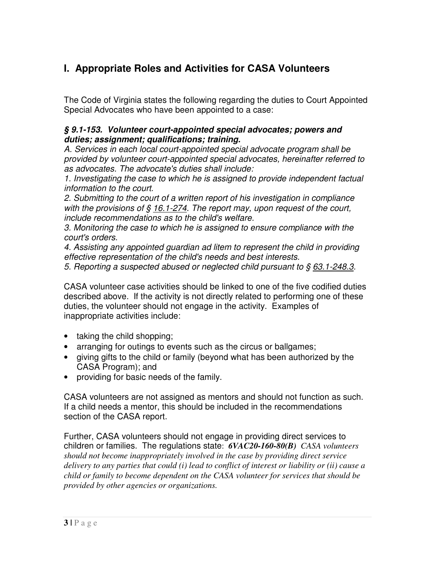# **I. Appropriate Roles and Activities for CASA Volunteers**

The Code of Virginia states the following regarding the duties to Court Appointed Special Advocates who have been appointed to a case:

#### **§ 9.1-153. Volunteer court-appointed special advocates; powers and duties; assignment; qualifications; training.**

A. Services in each local court-appointed special advocate program shall be provided by volunteer court-appointed special advocates, hereinafter referred to as advocates. The advocate's duties shall include:

1. Investigating the case to which he is assigned to provide independent factual information to the court.

2. Submitting to the court of a written report of his investigation in compliance with the provisions of  $\S$  16.1-274. The report may, upon request of the court, include recommendations as to the child's welfare.

3. Monitoring the case to which he is assigned to ensure compliance with the court's orders.

4. Assisting any appointed guardian ad litem to represent the child in providing effective representation of the child's needs and best interests.

5. Reporting a suspected abused or neglected child pursuant to § 63.1-248.3.

CASA volunteer case activities should be linked to one of the five codified duties described above. If the activity is not directly related to performing one of these duties, the volunteer should not engage in the activity. Examples of inappropriate activities include:

- taking the child shopping;
- arranging for outings to events such as the circus or ballgames;
- giving gifts to the child or family (beyond what has been authorized by the CASA Program); and
- providing for basic needs of the family.

CASA volunteers are not assigned as mentors and should not function as such. If a child needs a mentor, this should be included in the recommendations section of the CASA report.

Further, CASA volunteers should not engage in providing direct services to children or families. The regulations state: *6VAC20-160-80(B) CASA volunteers should not become inappropriately involved in the case by providing direct service delivery to any parties that could (i) lead to conflict of interest or liability or (ii) cause a child or family to become dependent on the CASA volunteer for services that should be provided by other agencies or organizations.*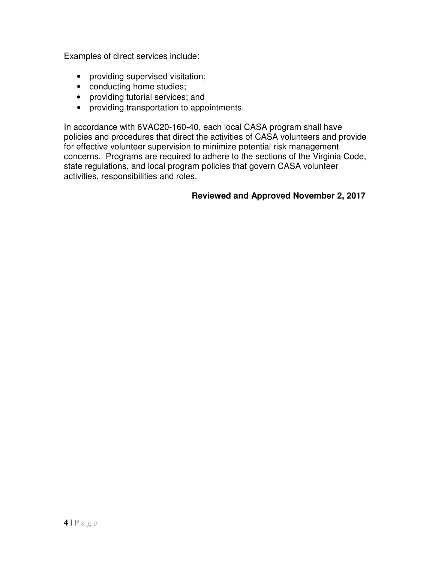Examples of direct services include:

- providing supervised visitation;
- conducting home studies;
- providing tutorial services; and
- providing transportation to appointments.

In accordance with 6VAC20-160-40, each local CASA program shall have policies and procedures that direct the activities of CASA volunteers and provide for effective volunteer supervision to minimize potential risk management concerns. Programs are required to adhere to the sections of the Virginia Code, state regulations, and local program policies that govern CASA volunteer activities, responsibilities and roles.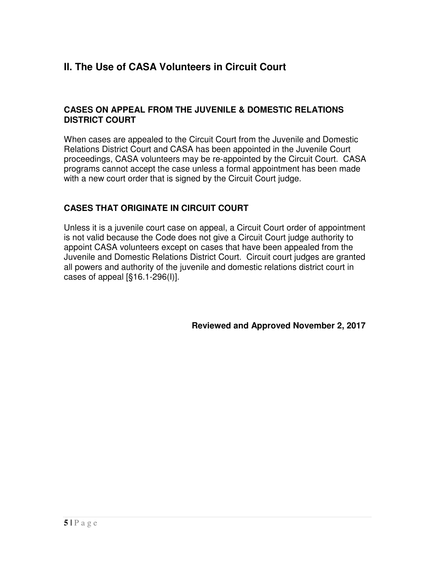# **II. The Use of CASA Volunteers in Circuit Court**

#### **CASES ON APPEAL FROM THE JUVENILE & DOMESTIC RELATIONS DISTRICT COURT**

When cases are appealed to the Circuit Court from the Juvenile and Domestic Relations District Court and CASA has been appointed in the Juvenile Court proceedings, CASA volunteers may be re-appointed by the Circuit Court. CASA programs cannot accept the case unless a formal appointment has been made with a new court order that is signed by the Circuit Court judge.

### **CASES THAT ORIGINATE IN CIRCUIT COURT**

Unless it is a juvenile court case on appeal, a Circuit Court order of appointment is not valid because the Code does not give a Circuit Court judge authority to appoint CASA volunteers except on cases that have been appealed from the Juvenile and Domestic Relations District Court. Circuit court judges are granted all powers and authority of the juvenile and domestic relations district court in cases of appeal  $\left[\frac{6}{5}\right]$  16.1-296(l)].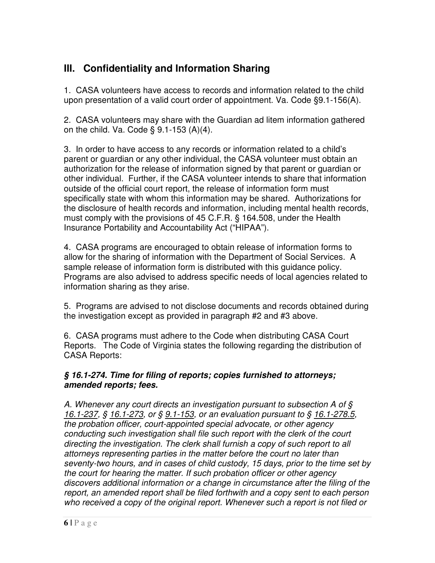# **III. Confidentiality and Information Sharing**

1. CASA volunteers have access to records and information related to the child upon presentation of a valid court order of appointment. Va. Code §9.1-156(A).

2. CASA volunteers may share with the Guardian ad litem information gathered on the child. Va. Code § 9.1-153 (A)(4).

3. In order to have access to any records or information related to a child's parent or guardian or any other individual, the CASA volunteer must obtain an authorization for the release of information signed by that parent or guardian or other individual. Further, if the CASA volunteer intends to share that information outside of the official court report, the release of information form must specifically state with whom this information may be shared. Authorizations for the disclosure of health records and information, including mental health records, must comply with the provisions of 45 C.F.R. § 164.508, under the Health Insurance Portability and Accountability Act ("HIPAA").

4. CASA programs are encouraged to obtain release of information forms to allow for the sharing of information with the Department of Social Services. A sample release of information form is distributed with this guidance policy. Programs are also advised to address specific needs of local agencies related to information sharing as they arise.

5. Programs are advised to not disclose documents and records obtained during the investigation except as provided in paragraph #2 and #3 above.

6. CASA programs must adhere to the Code when distributing CASA Court Reports. The Code of Virginia states the following regarding the distribution of CASA Reports:

#### **§ 16.1-274. Time for filing of reports; copies furnished to attorneys; amended reports; fees.**

A. Whenever any court directs an investigation pursuant to subsection A of § 16.1-237, § 16.1-273, or § 9.1-153, or an evaluation pursuant to § 16.1-278.5, the probation officer, court-appointed special advocate, or other agency conducting such investigation shall file such report with the clerk of the court directing the investigation. The clerk shall furnish a copy of such report to all attorneys representing parties in the matter before the court no later than seventy-two hours, and in cases of child custody, 15 days, prior to the time set by the court for hearing the matter. If such probation officer or other agency discovers additional information or a change in circumstance after the filing of the report, an amended report shall be filed forthwith and a copy sent to each person who received a copy of the original report. Whenever such a report is not filed or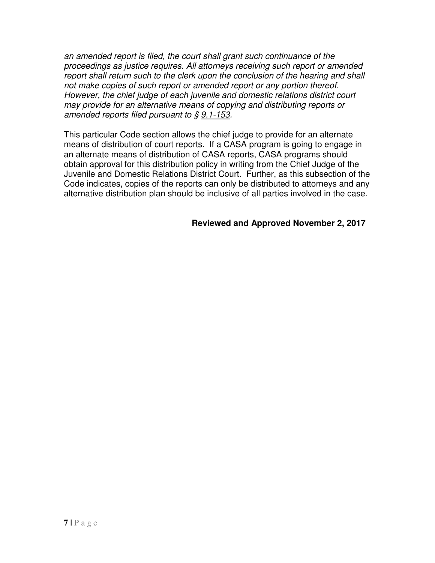an amended report is filed, the court shall grant such continuance of the proceedings as justice requires. All attorneys receiving such report or amended report shall return such to the clerk upon the conclusion of the hearing and shall not make copies of such report or amended report or any portion thereof. However, the chief judge of each juvenile and domestic relations district court may provide for an alternative means of copying and distributing reports or amended reports filed pursuant to  $\S$  9.1-153.

This particular Code section allows the chief judge to provide for an alternate means of distribution of court reports. If a CASA program is going to engage in an alternate means of distribution of CASA reports, CASA programs should obtain approval for this distribution policy in writing from the Chief Judge of the Juvenile and Domestic Relations District Court. Further, as this subsection of the Code indicates, copies of the reports can only be distributed to attorneys and any alternative distribution plan should be inclusive of all parties involved in the case.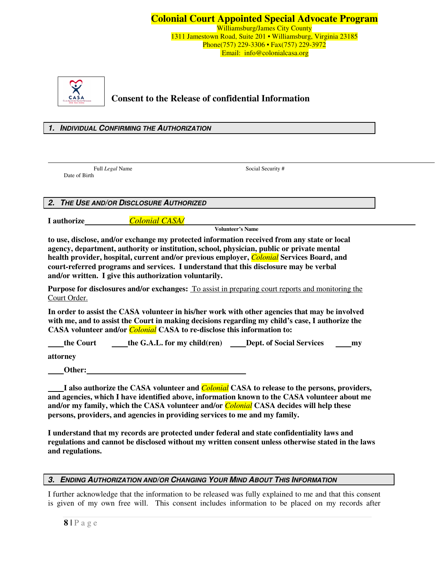

### **Consent to the Release of confidential Information**

#### **1. INDIVIDUAL CONFIRMING THE AUTHORIZATION**

Date of Birth

Full *Legal* Name Social Security #

**2. THE USE AND/OR DISCLOSURE AUTHORIZED** 

**I authorize** *Colonial CASA/*

**Volunteer's Name** 

**to use, disclose, and/or exchange my protected information received from any state or local agency, department, authority or institution, school, physician, public or private mental health provider, hospital, current and/or previous employer,** *Colonial* **Services Board, and court-referred programs and services. I understand that this disclosure may be verbal and/or written. I give this authorization voluntarily.** 

**Purpose for disclosures and/or exchanges:** To assist in preparing court reports and monitoring the Court Order.

**In order to assist the CASA volunteer in his/her work with other agencies that may be involved with me, and to assist the Court in making decisions regarding my child's case, I authorize the CASA volunteer and/or** *Colonial* **CASA to re-disclose this information to:** 

| the Court | the G.A.L. for my child(ren) | <b>Dept. of Social Services</b> | my |
|-----------|------------------------------|---------------------------------|----|
| attorney  |                              |                                 |    |

 **Other:** 

 **I also authorize the CASA volunteer and** *Colonial* **CASA to release to the persons, providers, and agencies, which I have identified above, information known to the CASA volunteer about me and/or my family, which the CASA volunteer and/or** *Colonial* **CASA decides will help these persons, providers, and agencies in providing services to me and my family.** 

**I understand that my records are protected under federal and state confidentiality laws and regulations and cannot be disclosed without my written consent unless otherwise stated in the laws and regulations.** 

#### **3. ENDING AUTHORIZATION AND/OR CHANGING YOUR MIND ABOUT THIS INFORMATION**

I further acknowledge that the information to be released was fully explained to me and that this consent is given of my own free will. This consent includes information to be placed on my records after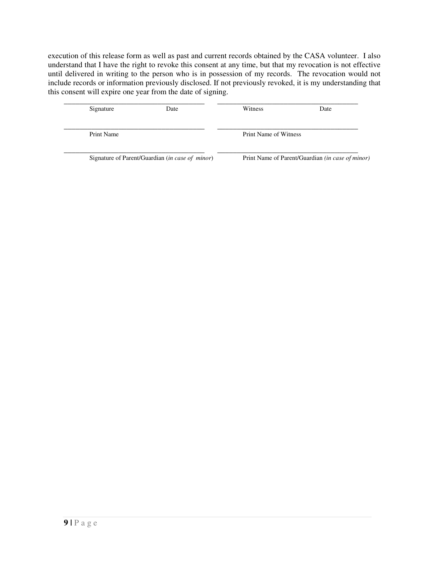execution of this release form as well as past and current records obtained by the CASA volunteer. I also understand that I have the right to revoke this consent at any time, but that my revocation is not effective until delivered in writing to the person who is in possession of my records. The revocation would not include records or information previously disclosed. If not previously revoked, it is my understanding that this consent will expire one year from the date of signing.

| Signature                                                | Date | Witness                                                 | Date |
|----------------------------------------------------------|------|---------------------------------------------------------|------|
| Print Name                                               |      | Print Name of Witness                                   |      |
| Signature of Parent/Guardian ( <i>in case of minor</i> ) |      | Print Name of Parent/Guardian <i>(in case of minor)</i> |      |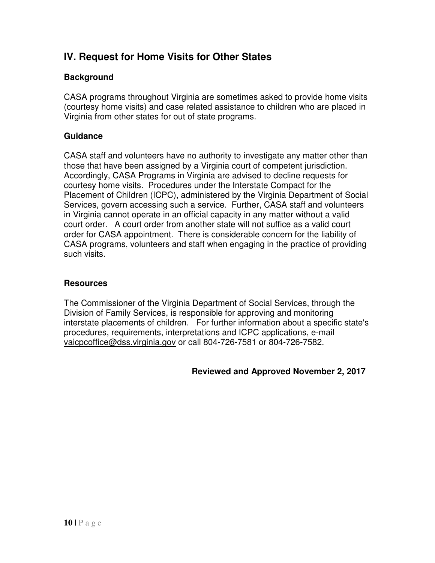# **IV. Request for Home Visits for Other States**

### **Background**

CASA programs throughout Virginia are sometimes asked to provide home visits (courtesy home visits) and case related assistance to children who are placed in Virginia from other states for out of state programs.

### **Guidance**

CASA staff and volunteers have no authority to investigate any matter other than those that have been assigned by a Virginia court of competent jurisdiction. Accordingly, CASA Programs in Virginia are advised to decline requests for courtesy home visits. Procedures under the Interstate Compact for the Placement of Children (ICPC), administered by the Virginia Department of Social Services, govern accessing such a service. Further, CASA staff and volunteers in Virginia cannot operate in an official capacity in any matter without a valid court order. A court order from another state will not suffice as a valid court order for CASA appointment. There is considerable concern for the liability of CASA programs, volunteers and staff when engaging in the practice of providing such visits.

#### **Resources**

The Commissioner of the Virginia Department of Social Services, through the Division of Family Services, is responsible for approving and monitoring interstate placements of children. For further information about a specific state's procedures, requirements, interpretations and ICPC applications, e-mail vaicpcoffice@dss.virginia.gov or call 804-726-7581 or 804-726-7582.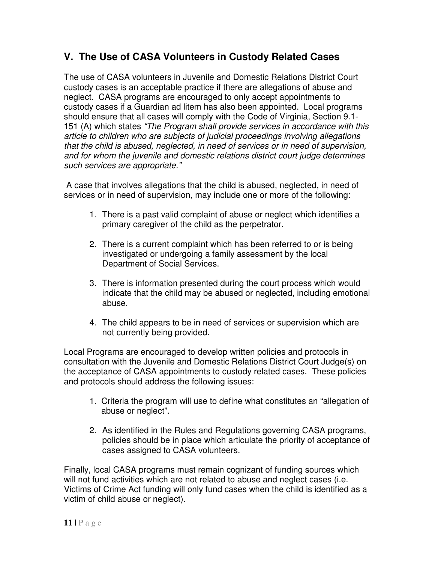# **V. The Use of CASA Volunteers in Custody Related Cases**

The use of CASA volunteers in Juvenile and Domestic Relations District Court custody cases is an acceptable practice if there are allegations of abuse and neglect. CASA programs are encouraged to only accept appointments to custody cases if a Guardian ad litem has also been appointed. Local programs should ensure that all cases will comply with the Code of Virginia, Section 9.1- 151 (A) which states "The Program shall provide services in accordance with this article to children who are subjects of judicial proceedings involving allegations that the child is abused, neglected, in need of services or in need of supervision, and for whom the juvenile and domestic relations district court judge determines such services are appropriate."

 A case that involves allegations that the child is abused, neglected, in need of services or in need of supervision, may include one or more of the following:

- 1. There is a past valid complaint of abuse or neglect which identifies a primary caregiver of the child as the perpetrator.
- 2. There is a current complaint which has been referred to or is being investigated or undergoing a family assessment by the local Department of Social Services.
- 3. There is information presented during the court process which would indicate that the child may be abused or neglected, including emotional abuse.
- 4. The child appears to be in need of services or supervision which are not currently being provided.

Local Programs are encouraged to develop written policies and protocols in consultation with the Juvenile and Domestic Relations District Court Judge(s) on the acceptance of CASA appointments to custody related cases. These policies and protocols should address the following issues:

- 1. Criteria the program will use to define what constitutes an "allegation of abuse or neglect".
- 2. As identified in the Rules and Regulations governing CASA programs, policies should be in place which articulate the priority of acceptance of cases assigned to CASA volunteers.

Finally, local CASA programs must remain cognizant of funding sources which will not fund activities which are not related to abuse and neglect cases (i.e. Victims of Crime Act funding will only fund cases when the child is identified as a victim of child abuse or neglect).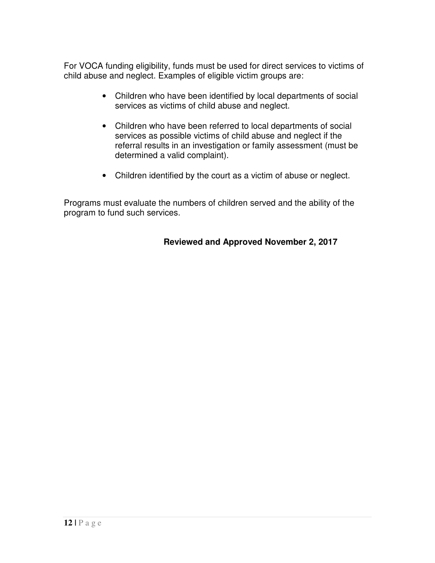For VOCA funding eligibility, funds must be used for direct services to victims of child abuse and neglect. Examples of eligible victim groups are:

- Children who have been identified by local departments of social services as victims of child abuse and neglect.
- Children who have been referred to local departments of social services as possible victims of child abuse and neglect if the referral results in an investigation or family assessment (must be determined a valid complaint).
- Children identified by the court as a victim of abuse or neglect.

Programs must evaluate the numbers of children served and the ability of the program to fund such services.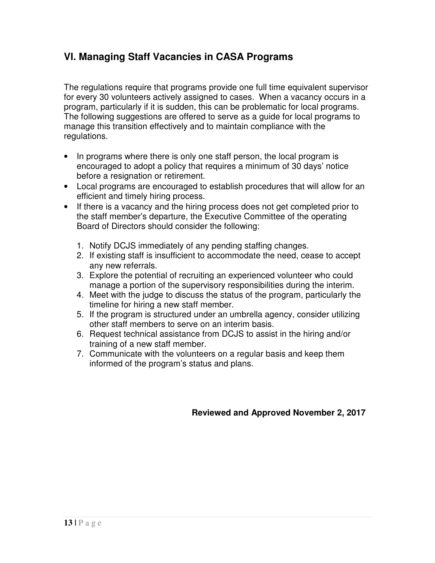### **VI. Managing Staff Vacancies in CASA Programs**

The regulations require that programs provide one full time equivalent supervisor for every 30 volunteers actively assigned to cases. When a vacancy occurs in a program, particularly if it is sudden, this can be problematic for local programs. The following suggestions are offered to serve as a guide for local programs to manage this transition effectively and to maintain compliance with the regulations.

- In programs where there is only one staff person, the local program is encouraged to adopt a policy that requires a minimum of 30 days' notice before a resignation or retirement.
- Local programs are encouraged to establish procedures that will allow for an efficient and timely hiring process.
- If there is a vacancy and the hiring process does not get completed prior to the staff member's departure, the Executive Committee of the operating Board of Directors should consider the following:
	- 1. Notify DCJS immediately of any pending staffing changes.
	- 2. If existing staff is insufficient to accommodate the need, cease to accept any new referrals.
	- 3. Explore the potential of recruiting an experienced volunteer who could manage a portion of the supervisory responsibilities during the interim.
	- 4. Meet with the judge to discuss the status of the program, particularly the timeline for hiring a new staff member.
	- 5. If the program is structured under an umbrella agency, consider utilizing other staff members to serve on an interim basis.
	- 6. Request technical assistance from DCJS to assist in the hiring and/or training of a new staff member.
	- 7. Communicate with the volunteers on a regular basis and keep them informed of the program's status and plans.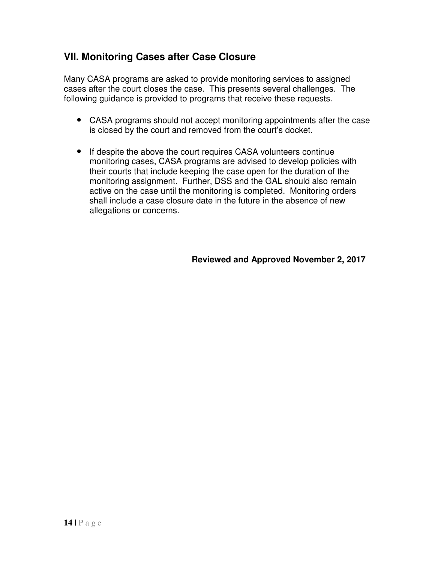### **VII. Monitoring Cases after Case Closure**

Many CASA programs are asked to provide monitoring services to assigned cases after the court closes the case. This presents several challenges. The following guidance is provided to programs that receive these requests.

- CASA programs should not accept monitoring appointments after the case is closed by the court and removed from the court's docket.
- If despite the above the court requires CASA volunteers continue monitoring cases, CASA programs are advised to develop policies with their courts that include keeping the case open for the duration of the monitoring assignment. Further, DSS and the GAL should also remain active on the case until the monitoring is completed. Monitoring orders shall include a case closure date in the future in the absence of new allegations or concerns.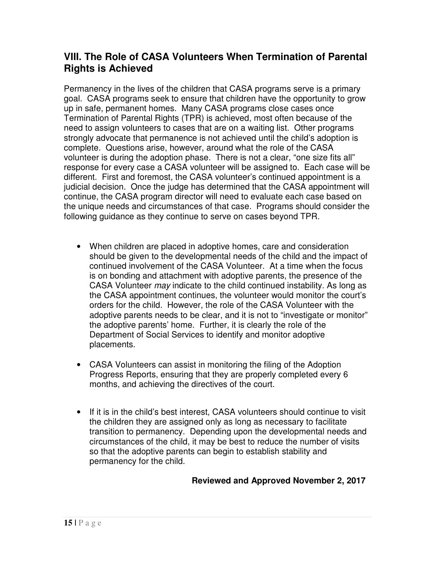### **VIII. The Role of CASA Volunteers When Termination of Parental Rights is Achieved**

Permanency in the lives of the children that CASA programs serve is a primary goal. CASA programs seek to ensure that children have the opportunity to grow up in safe, permanent homes. Many CASA programs close cases once Termination of Parental Rights (TPR) is achieved, most often because of the need to assign volunteers to cases that are on a waiting list. Other programs strongly advocate that permanence is not achieved until the child's adoption is complete. Questions arise, however, around what the role of the CASA volunteer is during the adoption phase. There is not a clear, "one size fits all" response for every case a CASA volunteer will be assigned to. Each case will be different. First and foremost, the CASA volunteer's continued appointment is a judicial decision. Once the judge has determined that the CASA appointment will continue, the CASA program director will need to evaluate each case based on the unique needs and circumstances of that case. Programs should consider the following guidance as they continue to serve on cases beyond TPR.

- When children are placed in adoptive homes, care and consideration should be given to the developmental needs of the child and the impact of continued involvement of the CASA Volunteer. At a time when the focus is on bonding and attachment with adoptive parents, the presence of the CASA Volunteer may indicate to the child continued instability. As long as the CASA appointment continues, the volunteer would monitor the court's orders for the child. However, the role of the CASA Volunteer with the adoptive parents needs to be clear, and it is not to "investigate or monitor" the adoptive parents' home. Further, it is clearly the role of the Department of Social Services to identify and monitor adoptive placements.
- CASA Volunteers can assist in monitoring the filing of the Adoption Progress Reports, ensuring that they are properly completed every 6 months, and achieving the directives of the court.
- If it is in the child's best interest, CASA volunteers should continue to visit the children they are assigned only as long as necessary to facilitate transition to permanency. Depending upon the developmental needs and circumstances of the child, it may be best to reduce the number of visits so that the adoptive parents can begin to establish stability and permanency for the child.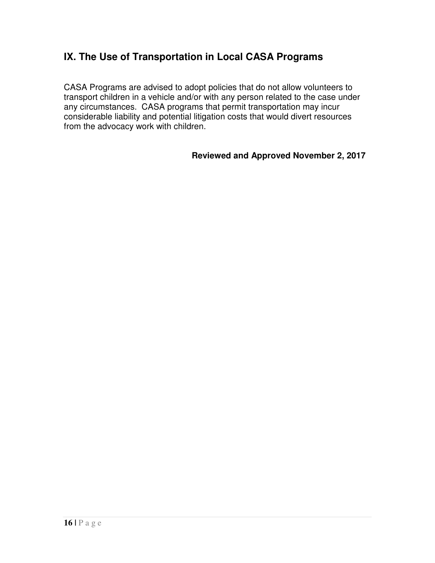### **IX. The Use of Transportation in Local CASA Programs**

CASA Programs are advised to adopt policies that do not allow volunteers to transport children in a vehicle and/or with any person related to the case under any circumstances. CASA programs that permit transportation may incur considerable liability and potential litigation costs that would divert resources from the advocacy work with children.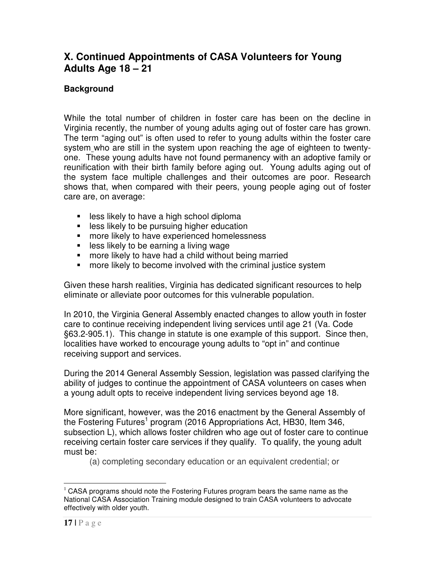### **X. Continued Appointments of CASA Volunteers for Young Adults Age 18 – 21**

### **Background**

While the total number of children in foster care has been on the decline in Virginia recently, the number of young adults aging out of foster care has grown. The term "aging out" is often used to refer to young adults within the foster care system who are still in the system upon reaching the age of eighteen to twentyone. These young adults have not found permanency with an adoptive family or reunification with their birth family before aging out. Young adults aging out of the system face multiple challenges and their outcomes are poor. Research shows that, when compared with their peers, young people aging out of foster care are, on average:

- **EXELGES** likely to have a high school diploma
- **EXEC** less likely to be pursuing higher education
- **n** more likely to have experienced homelessness
- **less likely to be earning a living wage**
- **nore likely to have had a child without being married**
- **nore likely to become involved with the criminal justice system**

Given these harsh realities, Virginia has dedicated significant resources to help eliminate or alleviate poor outcomes for this vulnerable population.

In 2010, the Virginia General Assembly enacted changes to allow youth in foster care to continue receiving independent living services until age 21 (Va. Code §63.2-905.1). This change in statute is one example of this support. Since then, localities have worked to encourage young adults to "opt in" and continue receiving support and services.

During the 2014 General Assembly Session, legislation was passed clarifying the ability of judges to continue the appointment of CASA volunteers on cases when a young adult opts to receive independent living services beyond age 18.

More significant, however, was the 2016 enactment by the General Assembly of the Fostering Futures<sup>1</sup> program (2016 Appropriations Act, HB30, Item 346, subsection L), which allows foster children who age out of foster care to continue receiving certain foster care services if they qualify. To qualify, the young adult must be:

(a) completing secondary education or an equivalent credential; or

 $\overline{a}$  $1$  CASA programs should note the Fostering Futures program bears the same name as the National CASA Association Training module designed to train CASA volunteers to advocate effectively with older youth.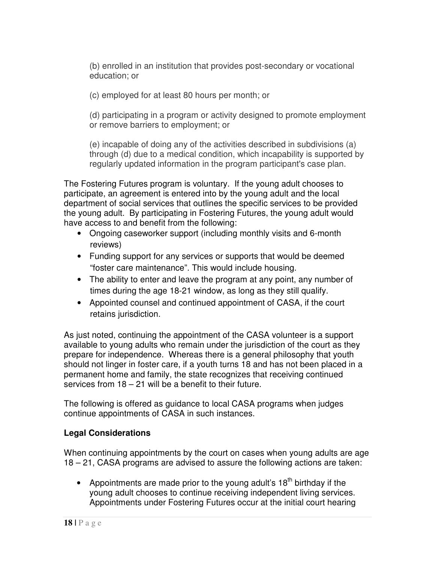(b) enrolled in an institution that provides post-secondary or vocational education; or

(c) employed for at least 80 hours per month; or

(d) participating in a program or activity designed to promote employment or remove barriers to employment; or

(e) incapable of doing any of the activities described in subdivisions (a) through (d) due to a medical condition, which incapability is supported by regularly updated information in the program participant's case plan.

The Fostering Futures program is voluntary. If the young adult chooses to participate, an agreement is entered into by the young adult and the local department of social services that outlines the specific services to be provided the young adult. By participating in Fostering Futures, the young adult would have access to and benefit from the following:

- Ongoing caseworker support (including monthly visits and 6-month reviews)
- Funding support for any services or supports that would be deemed "foster care maintenance". This would include housing.
- The ability to enter and leave the program at any point, any number of times during the age 18-21 window, as long as they still qualify.
- Appointed counsel and continued appointment of CASA, if the court retains jurisdiction.

As just noted, continuing the appointment of the CASA volunteer is a support available to young adults who remain under the jurisdiction of the court as they prepare for independence. Whereas there is a general philosophy that youth should not linger in foster care, if a youth turns 18 and has not been placed in a permanent home and family, the state recognizes that receiving continued services from 18 – 21 will be a benefit to their future.

The following is offered as guidance to local CASA programs when judges continue appointments of CASA in such instances.

### **Legal Considerations**

When continuing appointments by the court on cases when young adults are age 18 – 21, CASA programs are advised to assure the following actions are taken:

• Appointments are made prior to the young adult's  $18<sup>th</sup>$  birthday if the young adult chooses to continue receiving independent living services. Appointments under Fostering Futures occur at the initial court hearing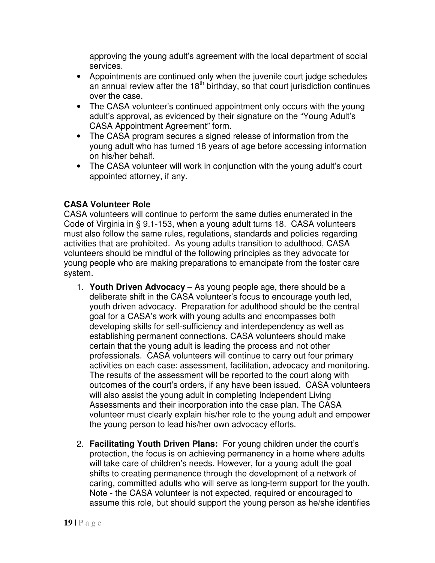approving the young adult's agreement with the local department of social services.

- Appointments are continued only when the juvenile court judge schedules an annual review after the  $18<sup>th</sup>$  birthday, so that court jurisdiction continues over the case.
- The CASA volunteer's continued appointment only occurs with the young adult's approval, as evidenced by their signature on the "Young Adult's CASA Appointment Agreement" form.
- The CASA program secures a signed release of information from the young adult who has turned 18 years of age before accessing information on his/her behalf.
- The CASA volunteer will work in conjunction with the young adult's court appointed attorney, if any.

### **CASA Volunteer Role**

CASA volunteers will continue to perform the same duties enumerated in the Code of Virginia in § 9.1-153, when a young adult turns 18. CASA volunteers must also follow the same rules, regulations, standards and policies regarding activities that are prohibited. As young adults transition to adulthood, CASA volunteers should be mindful of the following principles as they advocate for young people who are making preparations to emancipate from the foster care system.

- 1. **Youth Driven Advocacy** As young people age, there should be a deliberate shift in the CASA volunteer's focus to encourage youth led, youth driven advocacy. Preparation for adulthood should be the central goal for a CASA's work with young adults and encompasses both developing skills for self-sufficiency and interdependency as well as establishing permanent connections. CASA volunteers should make certain that the young adult is leading the process and not other professionals. CASA volunteers will continue to carry out four primary activities on each case: assessment, facilitation, advocacy and monitoring. The results of the assessment will be reported to the court along with outcomes of the court's orders, if any have been issued. CASA volunteers will also assist the young adult in completing Independent Living Assessments and their incorporation into the case plan. The CASA volunteer must clearly explain his/her role to the young adult and empower the young person to lead his/her own advocacy efforts.
- 2. **Facilitating Youth Driven Plans:** For young children under the court's protection, the focus is on achieving permanency in a home where adults will take care of children's needs. However, for a young adult the goal shifts to creating permanence through the development of a network of caring, committed adults who will serve as long-term support for the youth. Note - the CASA volunteer is not expected, required or encouraged to assume this role, but should support the young person as he/she identifies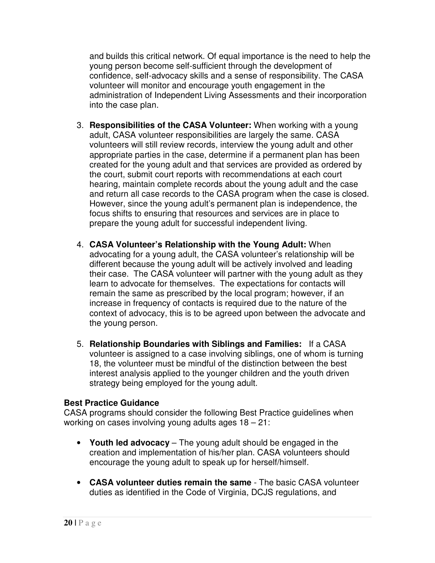and builds this critical network. Of equal importance is the need to help the young person become self-sufficient through the development of confidence, self-advocacy skills and a sense of responsibility. The CASA volunteer will monitor and encourage youth engagement in the administration of Independent Living Assessments and their incorporation into the case plan.

- 3. **Responsibilities of the CASA Volunteer:** When working with a young adult, CASA volunteer responsibilities are largely the same. CASA volunteers will still review records, interview the young adult and other appropriate parties in the case, determine if a permanent plan has been created for the young adult and that services are provided as ordered by the court, submit court reports with recommendations at each court hearing, maintain complete records about the young adult and the case and return all case records to the CASA program when the case is closed. However, since the young adult's permanent plan is independence, the focus shifts to ensuring that resources and services are in place to prepare the young adult for successful independent living.
- 4. **CASA Volunteer's Relationship with the Young Adult:** When advocating for a young adult, the CASA volunteer's relationship will be different because the young adult will be actively involved and leading their case. The CASA volunteer will partner with the young adult as they learn to advocate for themselves. The expectations for contacts will remain the same as prescribed by the local program; however, if an increase in frequency of contacts is required due to the nature of the context of advocacy, this is to be agreed upon between the advocate and the young person.
- 5. **Relationship Boundaries with Siblings and Families:** If a CASA volunteer is assigned to a case involving siblings, one of whom is turning 18, the volunteer must be mindful of the distinction between the best interest analysis applied to the younger children and the youth driven strategy being employed for the young adult.

#### **Best Practice Guidance**

CASA programs should consider the following Best Practice guidelines when working on cases involving young adults ages 18 – 21:

- **Youth led advocacy** The young adult should be engaged in the creation and implementation of his/her plan. CASA volunteers should encourage the young adult to speak up for herself/himself.
- **CASA volunteer duties remain the same** The basic CASA volunteer duties as identified in the Code of Virginia, DCJS regulations, and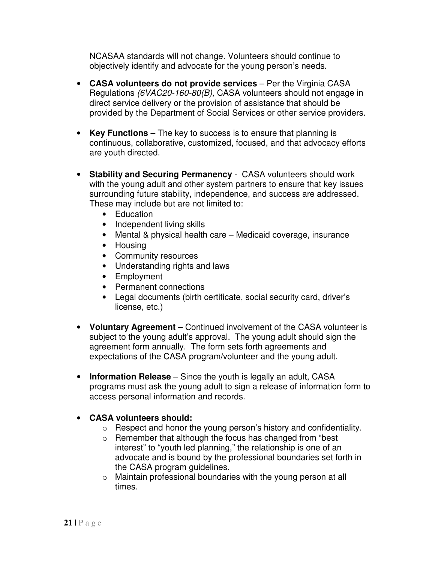NCASAA standards will not change. Volunteers should continue to objectively identify and advocate for the young person's needs.

- **CASA volunteers do not provide services** Per the Virginia CASA Regulations (6VAC20-160-80(B), CASA volunteers should not engage in direct service delivery or the provision of assistance that should be provided by the Department of Social Services or other service providers.
- **Key Functions** The key to success is to ensure that planning is continuous, collaborative, customized, focused, and that advocacy efforts are youth directed.
- **Stability and Securing Permanency** CASA volunteers should work with the young adult and other system partners to ensure that key issues surrounding future stability, independence, and success are addressed. These may include but are not limited to:
	- Education
	- Independent living skills
	- Mental & physical health care Medicaid coverage, insurance
	- Housing
	- Community resources
	- Understanding rights and laws
	- Employment
	- Permanent connections
	- Legal documents (birth certificate, social security card, driver's license, etc.)
- **Voluntary Agreement** Continued involvement of the CASA volunteer is subject to the young adult's approval. The young adult should sign the agreement form annually. The form sets forth agreements and expectations of the CASA program/volunteer and the young adult.
- **Information Release** Since the youth is legally an adult, CASA programs must ask the young adult to sign a release of information form to access personal information and records.

### • **CASA volunteers should:**

- o Respect and honor the young person's history and confidentiality.
- o Remember that although the focus has changed from "best interest" to "youth led planning," the relationship is one of an advocate and is bound by the professional boundaries set forth in the CASA program guidelines.
- o Maintain professional boundaries with the young person at all times.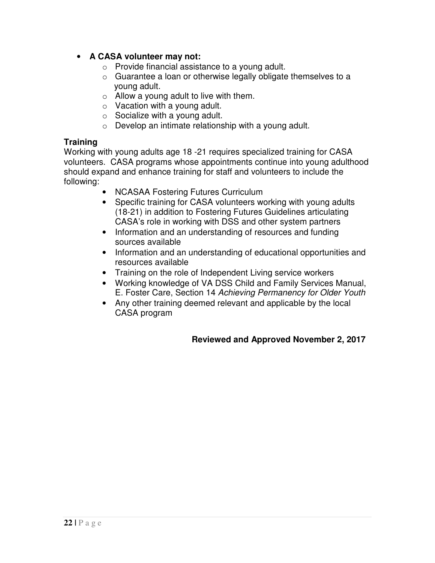- **A CASA volunteer may not:** 
	- $\circ$  Provide financial assistance to a young adult.
	- o Guarantee a loan or otherwise legally obligate themselves to a young adult.
	- $\circ$  Allow a young adult to live with them.
	- $\circ$  Vacation with a young adult.
	- $\circ$  Socialize with a young adult.
	- o Develop an intimate relationship with a young adult.

#### **Training**

Working with young adults age 18 -21 requires specialized training for CASA volunteers. CASA programs whose appointments continue into young adulthood should expand and enhance training for staff and volunteers to include the following:

- NCASAA Fostering Futures Curriculum
- Specific training for CASA volunteers working with young adults (18-21) in addition to Fostering Futures Guidelines articulating CASA's role in working with DSS and other system partners
- Information and an understanding of resources and funding sources available
- Information and an understanding of educational opportunities and resources available
- Training on the role of Independent Living service workers
- Working knowledge of VA DSS Child and Family Services Manual, E. Foster Care, Section 14 Achieving Permanency for Older Youth
- Any other training deemed relevant and applicable by the local CASA program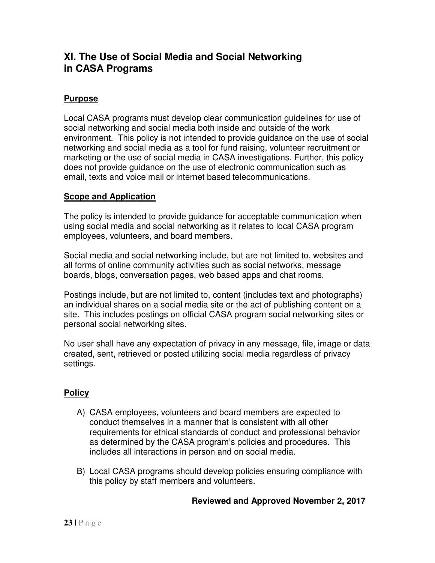### **XI. The Use of Social Media and Social Networking in CASA Programs**

### **Purpose**

Local CASA programs must develop clear communication guidelines for use of social networking and social media both inside and outside of the work environment. This policy is not intended to provide guidance on the use of social networking and social media as a tool for fund raising, volunteer recruitment or marketing or the use of social media in CASA investigations. Further, this policy does not provide guidance on the use of electronic communication such as email, texts and voice mail or internet based telecommunications.

### **Scope and Application**

The policy is intended to provide guidance for acceptable communication when using social media and social networking as it relates to local CASA program employees, volunteers, and board members.

Social media and social networking include, but are not limited to, websites and all forms of online community activities such as social networks, message boards, blogs, conversation pages, web based apps and chat rooms.

Postings include, but are not limited to, content (includes text and photographs) an individual shares on a social media site or the act of publishing content on a site. This includes postings on official CASA program social networking sites or personal social networking sites.

No user shall have any expectation of privacy in any message, file, image or data created, sent, retrieved or posted utilizing social media regardless of privacy settings.

### **Policy**

- A) CASA employees, volunteers and board members are expected to conduct themselves in a manner that is consistent with all other requirements for ethical standards of conduct and professional behavior as determined by the CASA program's policies and procedures. This includes all interactions in person and on social media.
- B) Local CASA programs should develop policies ensuring compliance with this policy by staff members and volunteers.